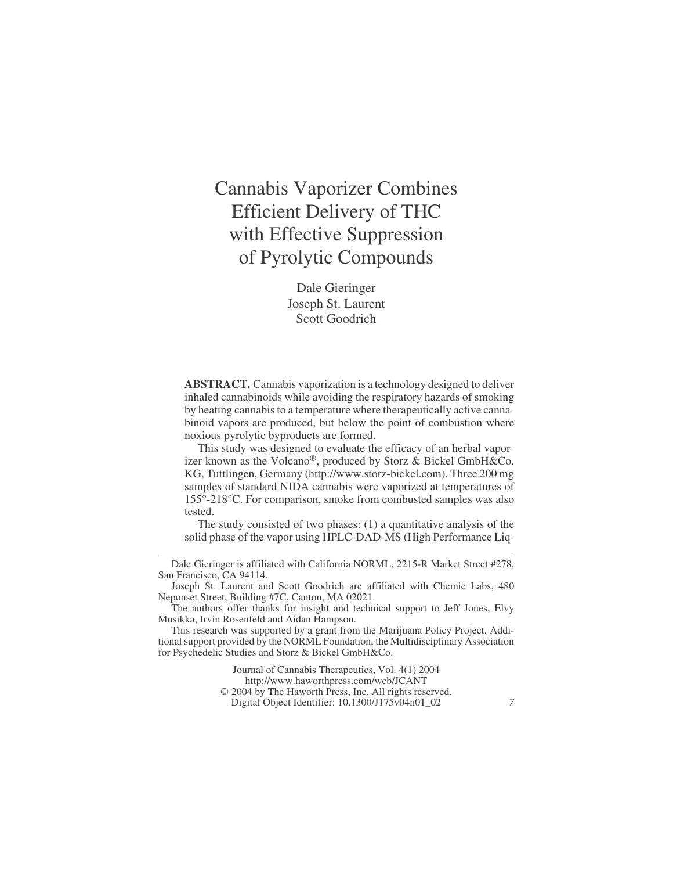# Cannabis Vaporizer Combines Efficient Delivery of THC with Effective Suppression of Pyrolytic Compounds

Dale Gieringer Joseph St. Laurent Scott Goodrich

**ABSTRACT.** Cannabis vaporization is a technology designed to deliver inhaled cannabinoids while avoiding the respiratory hazards of smoking by heating cannabis to a temperature where therapeutically active cannabinoid vapors are produced, but below the point of combustion where noxious pyrolytic byproducts are formed.

This study was designed to evaluate the efficacy of an herbal vaporizer known as the Volcano®, produced by Storz & Bickel GmbH&Co. KG, Tuttlingen, Germany (<http://www.storz-bickel.com>). Three 200 mg samples of standard NIDA cannabis were vaporized at temperatures of 155°-218°C. For comparison, smoke from combusted samples was also tested.

The study consisted of two phases: (1) a quantitative analysis of the solid phase of the vapor using HPLC-DAD-MS (High Performance Liq-

Journal of Cannabis Therapeutics, Vol. 4(1) 2004

Digital Object Identifier: 10.1300/J175v04n01\_02 *7*

Dale Gieringer is affiliated with California NORML, 2215-R Market Street #278, San Francisco, CA 94114.

Joseph St. Laurent and Scott Goodrich are affiliated with Chemic Labs, 480 Neponset Street, Building #7C, Canton, MA 02021.

The authors offer thanks for insight and technical support to Jeff Jones, Elvy Musikka, Irvin Rosenfeld and Aidan Hampson.

This research was supported by a grant from the Marijuana Policy Project. Additional support provided by the NORML Foundation, the Multidisciplinary Association for Psychedelic Studies and Storz & Bickel GmbH&Co.

<http://www.haworthpress.com/web/JCANT>

2004 by The Haworth Press, Inc. All rights reserved.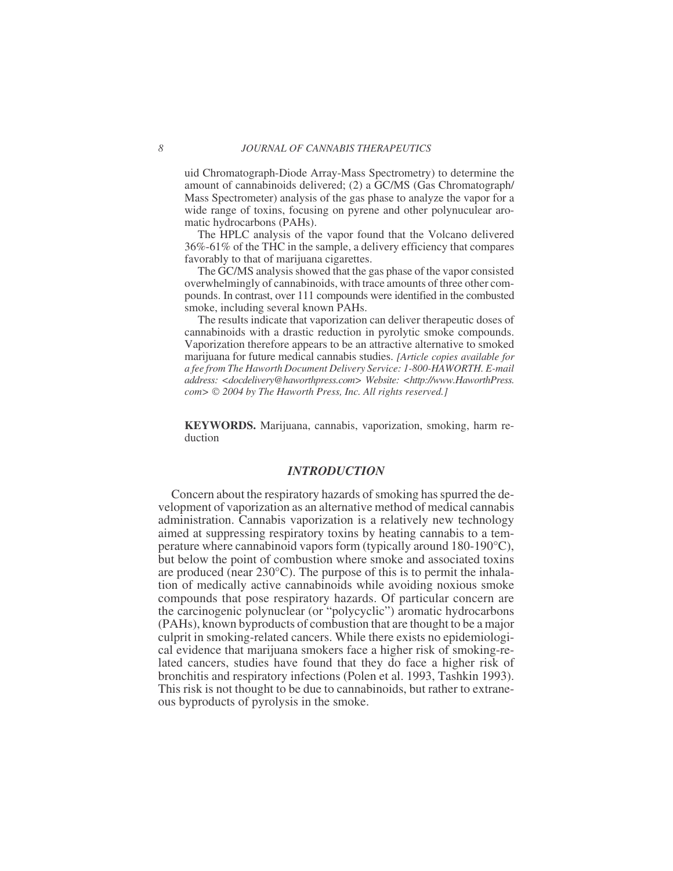uid Chromatograph-Diode Array-Mass Spectrometry) to determine the amount of cannabinoids delivered; (2) a GC/MS (Gas Chromatograph/ Mass Spectrometer) analysis of the gas phase to analyze the vapor for a wide range of toxins, focusing on pyrene and other polynuculear aromatic hydrocarbons (PAHs).

The HPLC analysis of the vapor found that the Volcano delivered 36%-61% of the THC in the sample, a delivery efficiency that compares favorably to that of marijuana cigarettes.

The GC/MS analysis showed that the gas phase of the vapor consisted overwhelmingly of cannabinoids, with trace amounts of three other compounds. In contrast, over 111 compounds were identified in the combusted smoke, including several known PAHs.

The results indicate that vaporization can deliver therapeutic doses of cannabinoids with a drastic reduction in pyrolytic smoke compounds. Vaporization therefore appears to be an attractive alternative to smoked marijuana for future medical cannabis studies. *[Article copies available for a fee from The Haworth Document Delivery Service: 1-800-HAWORTH. E-mail address: <docdelivery@haworthpress.com> Website: [<http://www.HaworthPress.](http://www.HaworthPress) com> 2004 by The Haworth Press, Inc. All rights reserved.]*

**KEYWORDS.** Marijuana, cannabis, vaporization, smoking, harm reduction

### *INTRODUCTION*

Concern about the respiratory hazards of smoking has spurred the development of vaporization as an alternative method of medical cannabis administration. Cannabis vaporization is a relatively new technology aimed at suppressing respiratory toxins by heating cannabis to a temperature where cannabinoid vapors form (typically around 180-190°C), but below the point of combustion where smoke and associated toxins are produced (near 230°C). The purpose of this is to permit the inhalation of medically active cannabinoids while avoiding noxious smoke compounds that pose respiratory hazards. Of particular concern are the carcinogenic polynuclear (or "polycyclic") aromatic hydrocarbons (PAHs), known byproducts of combustion that are thought to be a major culprit in smoking-related cancers. While there exists no epidemiological evidence that marijuana smokers face a higher risk of smoking-related cancers, studies have found that they do face a higher risk of bronchitis and respiratory infections (Polen et al. 1993, Tashkin 1993). This risk is not thought to be due to cannabinoids, but rather to extraneous byproducts of pyrolysis in the smoke.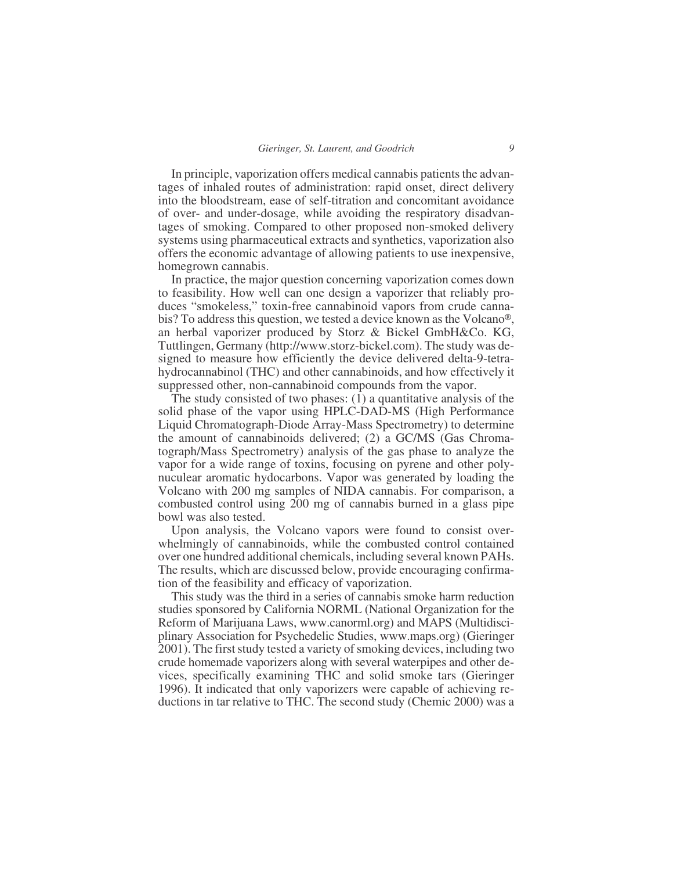In principle, vaporization offers medical cannabis patients the advantages of inhaled routes of administration: rapid onset, direct delivery into the bloodstream, ease of self-titration and concomitant avoidance of over- and under-dosage, while avoiding the respiratory disadvantages of smoking. Compared to other proposed non-smoked delivery systems using pharmaceutical extracts and synthetics, vaporization also offers the economic advantage of allowing patients to use inexpensive, homegrown cannabis.

In practice, the major question concerning vaporization comes down to feasibility. How well can one design a vaporizer that reliably produces "smokeless," toxin-free cannabinoid vapors from crude cannabis? To address this question, we tested a device known as the Volcano®, an herbal vaporizer produced by Storz & Bickel GmbH&Co. KG, Tuttlingen, Germany (<http://www.storz-bickel.com>). The study was designed to measure how efficiently the device delivered delta-9-tetrahydrocannabinol (THC) and other cannabinoids, and how effectively it suppressed other, non-cannabinoid compounds from the vapor.

The study consisted of two phases: (1) a quantitative analysis of the solid phase of the vapor using HPLC-DAD-MS (High Performance Liquid Chromatograph-Diode Array-Mass Spectrometry) to determine the amount of cannabinoids delivered; (2) a GC/MS (Gas Chromatograph/Mass Spectrometry) analysis of the gas phase to analyze the vapor for a wide range of toxins, focusing on pyrene and other polynuculear aromatic hydocarbons. Vapor was generated by loading the Volcano with 200 mg samples of NIDA cannabis. For comparison, a combusted control using 200 mg of cannabis burned in a glass pipe bowl was also tested.

Upon analysis, the Volcano vapors were found to consist overwhelmingly of cannabinoids, while the combusted control contained over one hundred additional chemicals, including several known PAHs. The results, which are discussed below, provide encouraging confirmation of the feasibility and efficacy of vaporization.

This study was the third in a series of cannabis smoke harm reduction studies sponsored by California NORML (National Organization for the Reform of Marijuana Laws, www.canorml.org) and MAPS (Multidisciplinary Association for Psychedelic Studies, www.maps.org) (Gieringer 2001). The first study tested a variety of smoking devices, including two crude homemade vaporizers along with several waterpipes and other devices, specifically examining THC and solid smoke tars (Gieringer 1996). It indicated that only vaporizers were capable of achieving reductions in tar relative to THC. The second study (Chemic 2000) was a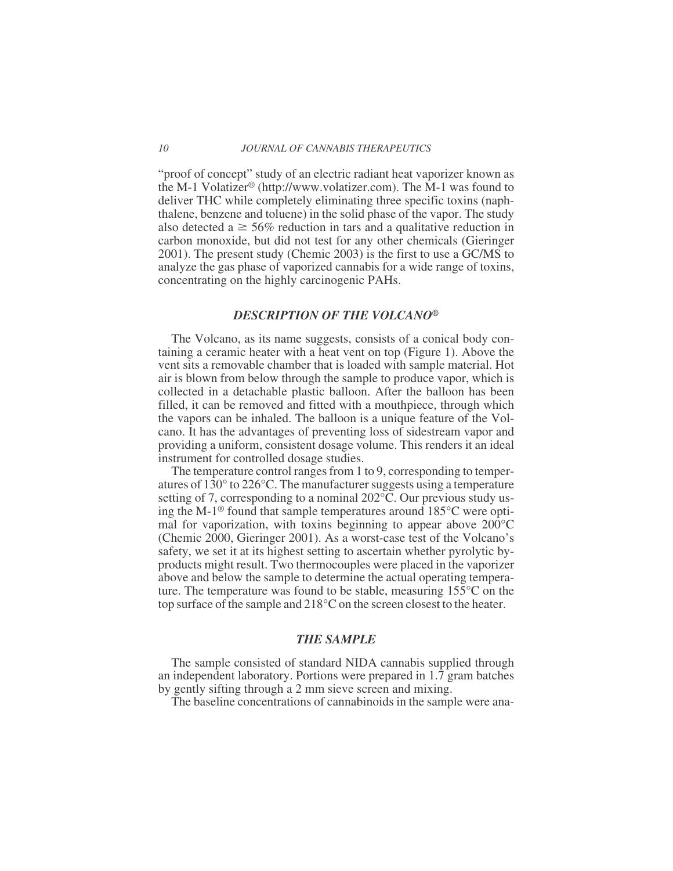"proof of concept" study of an electric radiant heat vaporizer known as the M-1 Volatizer® (<http://www.volatizer.com>). The M-1 was found to deliver THC while completely eliminating three specific toxins (naphthalene, benzene and toluene) in the solid phase of the vapor. The study also detected a  $\geq$  56% reduction in tars and a qualitative reduction in carbon monoxide, but did not test for any other chemicals (Gieringer 2001). The present study (Chemic 2003) is the first to use a GC/MS to analyze the gas phase of vaporized cannabis for a wide range of toxins, concentrating on the highly carcinogenic PAHs.

#### *DESCRIPTION OF THE VOLCANO®*

The Volcano, as its name suggests, consists of a conical body containing a ceramic heater with a heat vent on top (Figure 1). Above the vent sits a removable chamber that is loaded with sample material. Hot air is blown from below through the sample to produce vapor, which is collected in a detachable plastic balloon. After the balloon has been filled, it can be removed and fitted with a mouthpiece, through which the vapors can be inhaled. The balloon is a unique feature of the Volcano. It has the advantages of preventing loss of sidestream vapor and providing a uniform, consistent dosage volume. This renders it an ideal instrument for controlled dosage studies.

The temperature control ranges from 1 to 9, corresponding to temperatures of 130° to 226°C. The manufacturer suggests using a temperature setting of 7, corresponding to a nominal 202°C. Our previous study using the M-1® found that sample temperatures around 185°C were optimal for vaporization, with toxins beginning to appear above 200°C (Chemic 2000, Gieringer 2001). As a worst-case test of the Volcano's safety, we set it at its highest setting to ascertain whether pyrolytic byproducts might result. Two thermocouples were placed in the vaporizer above and below the sample to determine the actual operating temperature. The temperature was found to be stable, measuring 155°C on the top surface of the sample and 218°C on the screen closest to the heater.

#### *THE SAMPLE*

The sample consisted of standard NIDA cannabis supplied through an independent laboratory. Portions were prepared in 1.7 gram batches by gently sifting through a 2 mm sieve screen and mixing.

The baseline concentrations of cannabinoids in the sample were ana-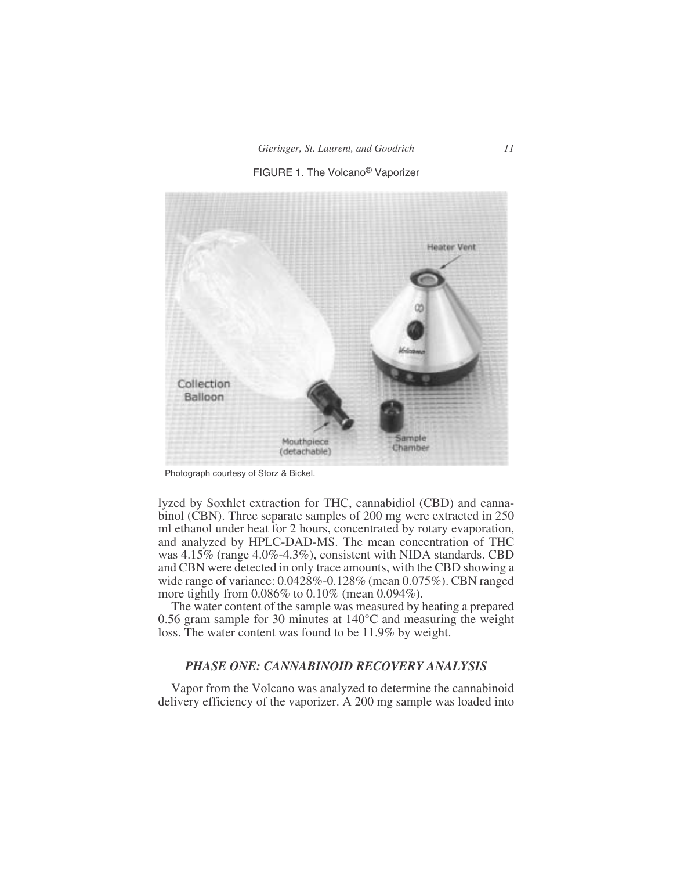



Photograph courtesy of Storz & Bickel.

lyzed by Soxhlet extraction for THC, cannabidiol (CBD) and cannabinol (CBN). Three separate samples of 200 mg were extracted in 250 ml ethanol under heat for 2 hours, concentrated by rotary evaporation, and analyzed by HPLC-DAD-MS. The mean concentration of THC was 4.15% (range 4.0%-4.3%), consistent with NIDA standards. CBD and CBN were detected in only trace amounts, with the CBD showing a wide range of variance: 0.0428%-0.128% (mean 0.075%). CBN ranged more tightly from 0.086% to 0.10% (mean 0.094%).

The water content of the sample was measured by heating a prepared 0.56 gram sample for 30 minutes at 140°C and measuring the weight loss. The water content was found to be 11.9% by weight.

#### *PHASE ONE: CANNABINOID RECOVERY ANALYSIS*

Vapor from the Volcano was analyzed to determine the cannabinoid delivery efficiency of the vaporizer. A 200 mg sample was loaded into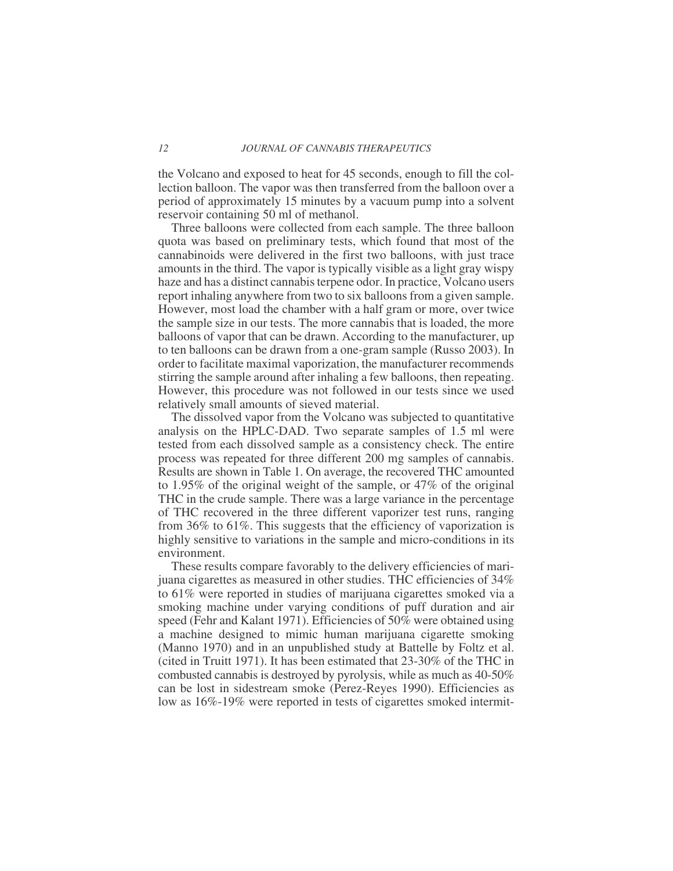the Volcano and exposed to heat for 45 seconds, enough to fill the collection balloon. The vapor was then transferred from the balloon over a period of approximately 15 minutes by a vacuum pump into a solvent reservoir containing 50 ml of methanol.

Three balloons were collected from each sample. The three balloon quota was based on preliminary tests, which found that most of the cannabinoids were delivered in the first two balloons, with just trace amounts in the third. The vapor is typically visible as a light gray wispy haze and has a distinct cannabis terpene odor. In practice, Volcano users report inhaling anywhere from two to six balloons from a given sample. However, most load the chamber with a half gram or more, over twice the sample size in our tests. The more cannabis that is loaded, the more balloons of vapor that can be drawn. According to the manufacturer, up to ten balloons can be drawn from a one-gram sample (Russo 2003). In order to facilitate maximal vaporization, the manufacturer recommends stirring the sample around after inhaling a few balloons, then repeating. However, this procedure was not followed in our tests since we used relatively small amounts of sieved material.

The dissolved vapor from the Volcano was subjected to quantitative analysis on the HPLC-DAD. Two separate samples of 1.5 ml were tested from each dissolved sample as a consistency check. The entire process was repeated for three different 200 mg samples of cannabis. Results are shown in Table 1. On average, the recovered THC amounted to 1.95% of the original weight of the sample, or 47% of the original THC in the crude sample. There was a large variance in the percentage of THC recovered in the three different vaporizer test runs, ranging from 36% to 61%. This suggests that the efficiency of vaporization is highly sensitive to variations in the sample and micro-conditions in its environment.

These results compare favorably to the delivery efficiencies of marijuana cigarettes as measured in other studies. THC efficiencies of 34% to 61% were reported in studies of marijuana cigarettes smoked via a smoking machine under varying conditions of puff duration and air speed (Fehr and Kalant 1971). Efficiencies of 50% were obtained using a machine designed to mimic human marijuana cigarette smoking (Manno 1970) and in an unpublished study at Battelle by Foltz et al. (cited in Truitt 1971). It has been estimated that 23-30% of the THC in combusted cannabis is destroyed by pyrolysis, while as much as 40-50% can be lost in sidestream smoke (Perez-Reyes 1990). Efficiencies as low as 16%-19% were reported in tests of cigarettes smoked intermit-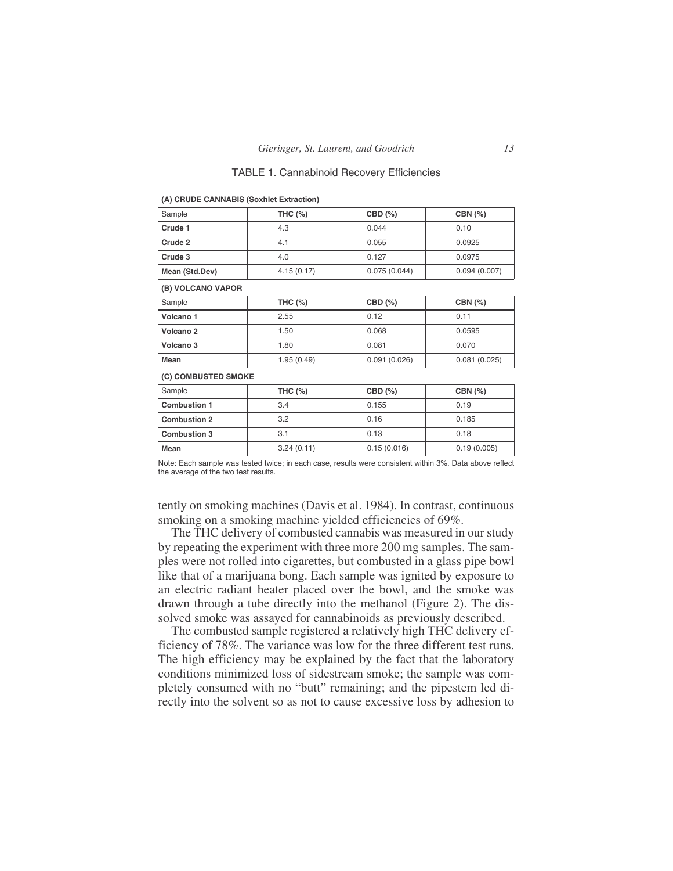#### TABLE 1. Cannabinoid Recovery Efficiencies

| Sample                                                                                                  | <b>THC (%)</b> | CBD (%)      | CBN (%)      |  |  |  |
|---------------------------------------------------------------------------------------------------------|----------------|--------------|--------------|--|--|--|
| Crude 1                                                                                                 | 4.3            | 0.044        | 0.10         |  |  |  |
| Crude 2                                                                                                 | 4.1            | 0.055        | 0.0925       |  |  |  |
| Crude 3                                                                                                 | 4.0            | 0.127        | 0.0975       |  |  |  |
| Mean (Std.Dev)                                                                                          | 4.15(0.17)     | 0.075(0.044) | 0.094(0.007) |  |  |  |
| (B) VOLCANO VAPOR                                                                                       |                |              |              |  |  |  |
| Sample                                                                                                  | <b>THC (%)</b> | CBD(%)       | CBN (%)      |  |  |  |
| Volcano 1                                                                                               | 2.55           | 0.12         | 0.11         |  |  |  |
| Volcano 2                                                                                               | 1.50           | 0.068        | 0.0595       |  |  |  |
| Volcano 3                                                                                               | 1.80           | 0.081        | 0.070        |  |  |  |
| <b>Mean</b>                                                                                             | 1.95(0.49)     | 0.091(0.026) | 0.081(0.025) |  |  |  |
| (C) COMBUSTED SMOKE                                                                                     |                |              |              |  |  |  |
| Sample                                                                                                  | <b>THC (%)</b> | CBD (%)      | CBN (%)      |  |  |  |
| <b>Combustion 1</b>                                                                                     | 3.4            | 0.155        | 0.19         |  |  |  |
| <b>Combustion 2</b>                                                                                     | 3.2            | 0.16         | 0.185        |  |  |  |
| <b>Combustion 3</b>                                                                                     | 3.1            | 0.13         | 0.18         |  |  |  |
| <b>Mean</b>                                                                                             | 3.24(0.11)     | 0.15(0.016)  | 0.19(0.005)  |  |  |  |
| Note: Each sample was tested twice: in each case, results were consistent within 3%. Data above reflect |                |              |              |  |  |  |

**(A) CRUDE CANNABIS (Soxhlet Extraction)**

Note: Each sample was tested twice; in each case, results were consistent within 3%. Data above reflect the average of the two test results.

tently on smoking machines (Davis et al. 1984). In contrast, continuous smoking on a smoking machine yielded efficiencies of 69%.

The THC delivery of combusted cannabis was measured in our study by repeating the experiment with three more 200 mg samples. The samples were not rolled into cigarettes, but combusted in a glass pipe bowl like that of a marijuana bong. Each sample was ignited by exposure to an electric radiant heater placed over the bowl, and the smoke was drawn through a tube directly into the methanol (Figure 2). The dissolved smoke was assayed for cannabinoids as previously described.

The combusted sample registered a relatively high THC delivery efficiency of 78%. The variance was low for the three different test runs. The high efficiency may be explained by the fact that the laboratory conditions minimized loss of sidestream smoke; the sample was completely consumed with no "butt" remaining; and the pipestem led directly into the solvent so as not to cause excessive loss by adhesion to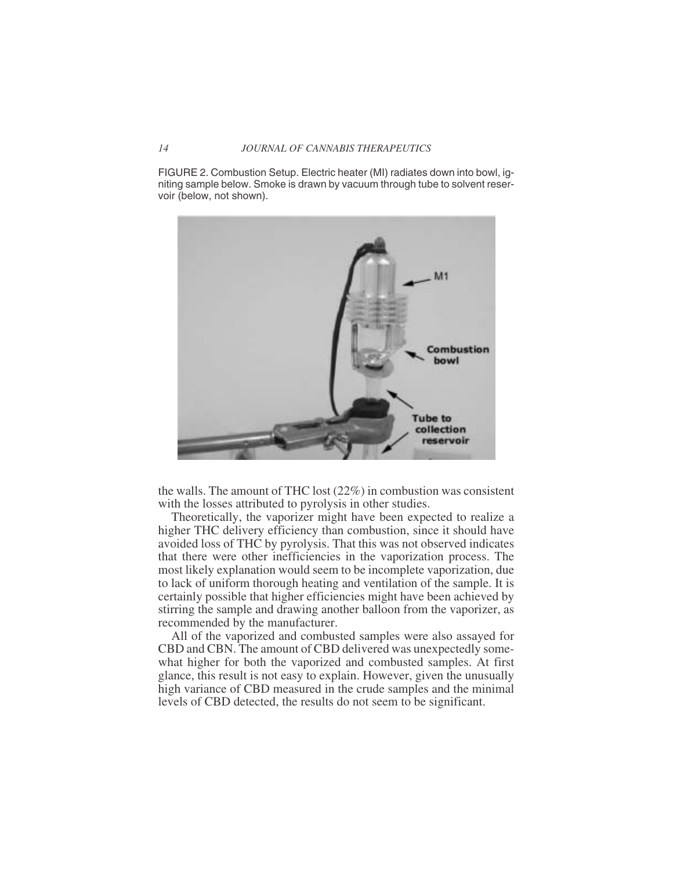FIGURE 2. Combustion Setup. Electric heater (MI) radiates down into bowl, igniting sample below. Smoke is drawn by vacuum through tube to solvent reservoir (below, not shown).



the walls. The amount of THC lost (22%) in combustion was consistent with the losses attributed to pyrolysis in other studies.

Theoretically, the vaporizer might have been expected to realize a higher THC delivery efficiency than combustion, since it should have avoided loss of THC by pyrolysis. That this was not observed indicates that there were other inefficiencies in the vaporization process. The most likely explanation would seem to be incomplete vaporization, due to lack of uniform thorough heating and ventilation of the sample. It is certainly possible that higher efficiencies might have been achieved by stirring the sample and drawing another balloon from the vaporizer, as recommended by the manufacturer.

All of the vaporized and combusted samples were also assayed for CBD and CBN. The amount of CBD delivered was unexpectedly somewhat higher for both the vaporized and combusted samples. At first glance, this result is not easy to explain. However, given the unusually high variance of CBD measured in the crude samples and the minimal levels of CBD detected, the results do not seem to be significant.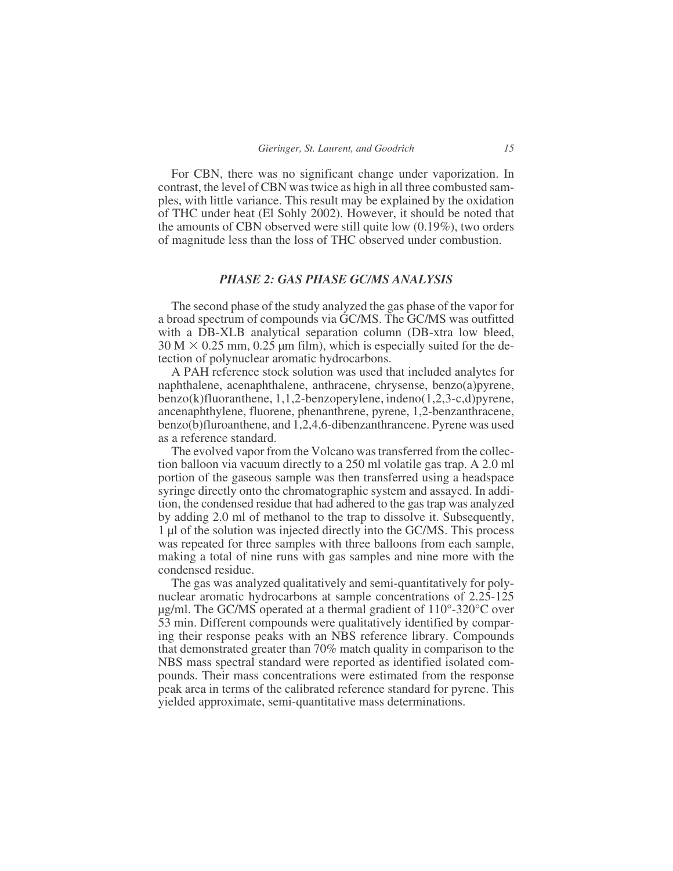For CBN, there was no significant change under vaporization. In contrast, the level of CBN was twice as high in all three combusted samples, with little variance. This result may be explained by the oxidation of THC under heat (El Sohly 2002). However, it should be noted that the amounts of CBN observed were still quite low (0.19%), two orders of magnitude less than the loss of THC observed under combustion.

### *PHASE 2: GAS PHASE GC/MS ANALYSIS*

The second phase of the study analyzed the gas phase of the vapor for a broad spectrum of compounds via GC/MS. The GC/MS was outfitted with a DB-XLB analytical separation column (DB-xtra low bleed,  $30 M \times 0.25$  mm, 0.25 µm film), which is especially suited for the detection of polynuclear aromatic hydrocarbons.

A PAH reference stock solution was used that included analytes for naphthalene, acenaphthalene, anthracene, chrysense, benzo(a)pyrene, benzo(k)fluoranthene, 1,1,2-benzoperylene, indeno(1,2,3-c,d)pyrene, ancenaphthylene, fluorene, phenanthrene, pyrene, 1,2-benzanthracene, benzo(b)fluroanthene, and 1,2,4,6-dibenzanthrancene. Pyrene was used as a reference standard.

The evolved vapor from the Volcano was transferred from the collection balloon via vacuum directly to a 250 ml volatile gas trap. A 2.0 ml portion of the gaseous sample was then transferred using a headspace syringe directly onto the chromatographic system and assayed. In addition, the condensed residue that had adhered to the gas trap was analyzed by adding 2.0 ml of methanol to the trap to dissolve it. Subsequently, 1 µl of the solution was injected directly into the GC/MS. This process was repeated for three samples with three balloons from each sample, making a total of nine runs with gas samples and nine more with the condensed residue.

The gas was analyzed qualitatively and semi-quantitatively for polynuclear aromatic hydrocarbons at sample concentrations of 2.25-125 µg/ml. The GC/MS operated at a thermal gradient of 110°-320°C over 53 min. Different compounds were qualitatively identified by comparing their response peaks with an NBS reference library. Compounds that demonstrated greater than 70% match quality in comparison to the NBS mass spectral standard were reported as identified isolated compounds. Their mass concentrations were estimated from the response peak area in terms of the calibrated reference standard for pyrene. This yielded approximate, semi-quantitative mass determinations.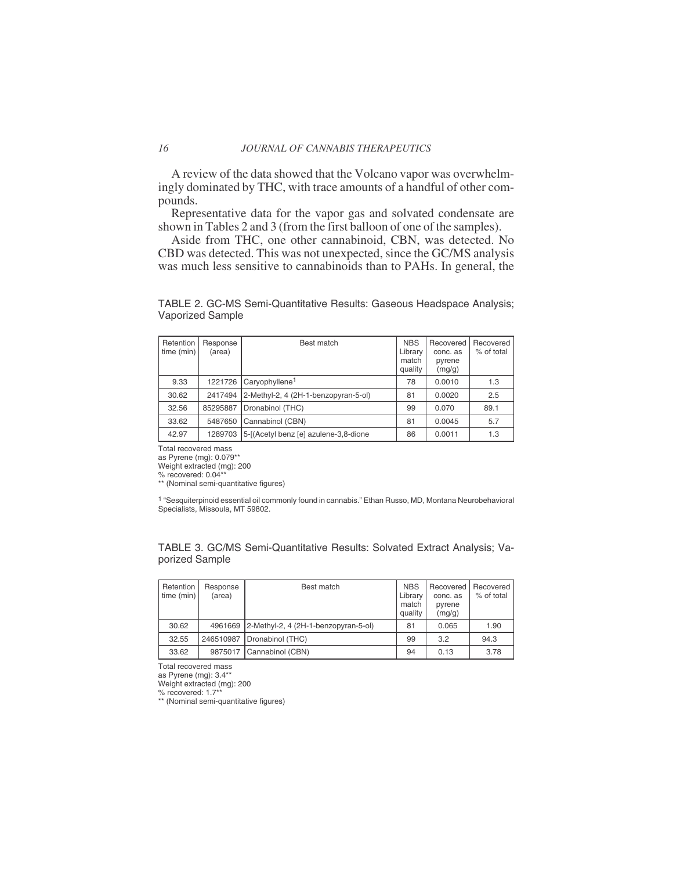A review of the data showed that the Volcano vapor was overwhelmingly dominated by THC, with trace amounts of a handful of other compounds.

Representative data for the vapor gas and solvated condensate are shown in Tables 2 and 3 (from the first balloon of one of the samples).

Aside from THC, one other cannabinoid, CBN, was detected. No CBD was detected. This was not unexpected, since the GC/MS analysis was much less sensitive to cannabinoids than to PAHs. In general, the

TABLE 2. GC-MS Semi-Quantitative Results: Gaseous Headspace Analysis; Vaporized Sample

| Retention<br>time (min) | Response<br>(area) | Best match                            | <b>NBS</b><br>Library<br>match<br>quality | Recovered<br>conc. as<br>pyrene<br>(mg/g) | Recovered<br>% of total |
|-------------------------|--------------------|---------------------------------------|-------------------------------------------|-------------------------------------------|-------------------------|
| 9.33                    | 1221726            | Caryophyllene <sup>1</sup>            | 78                                        | 0.0010                                    | 1.3                     |
| 30.62                   | 2417494            | 2-Methyl-2, 4 (2H-1-benzopyran-5-ol)  | 81                                        | 0.0020                                    | 2.5                     |
| 32.56                   | 85295887           | Dronabinol (THC)                      | 99                                        | 0.070                                     | 89.1                    |
| 33.62                   | 5487650            | Cannabinol (CBN)                      | 81                                        | 0.0045                                    | 5.7                     |
| 42.97                   | 1289703            | 5-[(Acetyl benz [e] azulene-3,8-dione | 86                                        | 0.0011                                    | 1.3                     |

Total recovered mass

as Pyrene (mg): 0.079\*\*

Weight extracted (mg): 200 % recovered: 0.04\*\* \*\* (Nominal semi-quantitative figures)

1 "Sesquiterpinoid essential oil commonly found in cannabis." Ethan Russo, MD, Montana Neurobehavioral Specialists, Missoula, MT 59802.

TABLE 3. GC/MS Semi-Quantitative Results: Solvated Extract Analysis; Vaporized Sample

| Retention<br>time (min) | Response<br>(area) | Best match                                   | <b>NBS</b><br>Library<br>match<br>quality | Recovered<br>conc. as<br>pyrene<br>(mg/g) | Recovered<br>% of total |
|-------------------------|--------------------|----------------------------------------------|-------------------------------------------|-------------------------------------------|-------------------------|
| 30.62                   |                    | 4961669 2-Methyl-2, 4 (2H-1-benzopyran-5-ol) | 81                                        | 0.065                                     | 1.90                    |
| 32.55                   | 246510987          | Dronabinol (THC)                             | 99                                        | 3.2                                       | 94.3                    |
| 33.62                   | 9875017            | Cannabinol (CBN)                             | 94                                        | 0.13                                      | 3.78                    |

Total recovered mass

as Pyrene (mg): 3.4\*\*

Weight extracted (mg): 200

% recovered: 1.7\*\* \*\* (Nominal semi-quantitative figures)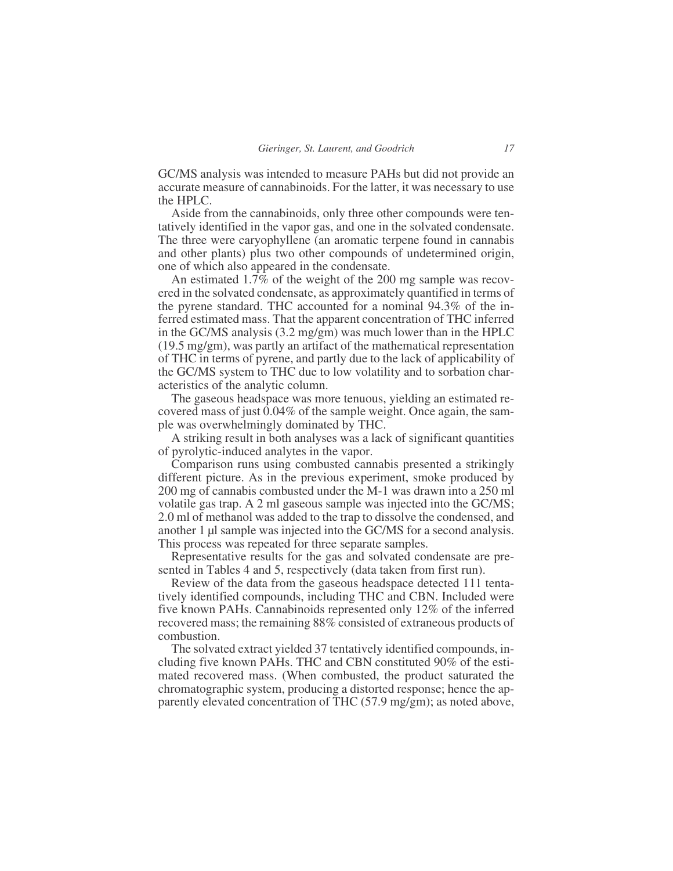GC/MS analysis was intended to measure PAHs but did not provide an accurate measure of cannabinoids. For the latter, it was necessary to use the HPLC.

Aside from the cannabinoids, only three other compounds were tentatively identified in the vapor gas, and one in the solvated condensate. The three were caryophyllene (an aromatic terpene found in cannabis and other plants) plus two other compounds of undetermined origin, one of which also appeared in the condensate.

An estimated 1.7% of the weight of the 200 mg sample was recovered in the solvated condensate, as approximately quantified in terms of the pyrene standard. THC accounted for a nominal 94.3% of the inferred estimated mass. That the apparent concentration of THC inferred in the GC/MS analysis (3.2 mg/gm) was much lower than in the HPLC (19.5 mg/gm), was partly an artifact of the mathematical representation of THC in terms of pyrene, and partly due to the lack of applicability of the GC/MS system to THC due to low volatility and to sorbation characteristics of the analytic column.

The gaseous headspace was more tenuous, yielding an estimated recovered mass of just 0.04% of the sample weight. Once again, the sample was overwhelmingly dominated by THC.

A striking result in both analyses was a lack of significant quantities of pyrolytic-induced analytes in the vapor.

Comparison runs using combusted cannabis presented a strikingly different picture. As in the previous experiment, smoke produced by 200 mg of cannabis combusted under the M-1 was drawn into a 250 ml volatile gas trap. A 2 ml gaseous sample was injected into the GC/MS; 2.0 ml of methanol was added to the trap to dissolve the condensed, and another 1 µl sample was injected into the GC/MS for a second analysis. This process was repeated for three separate samples.

Representative results for the gas and solvated condensate are presented in Tables 4 and 5, respectively (data taken from first run).

Review of the data from the gaseous headspace detected 111 tentatively identified compounds, including THC and CBN. Included were five known PAHs. Cannabinoids represented only 12% of the inferred recovered mass; the remaining 88% consisted of extraneous products of combustion.

The solvated extract yielded 37 tentatively identified compounds, including five known PAHs. THC and CBN constituted 90% of the estimated recovered mass. (When combusted, the product saturated the chromatographic system, producing a distorted response; hence the apparently elevated concentration of THC (57.9 mg/gm); as noted above,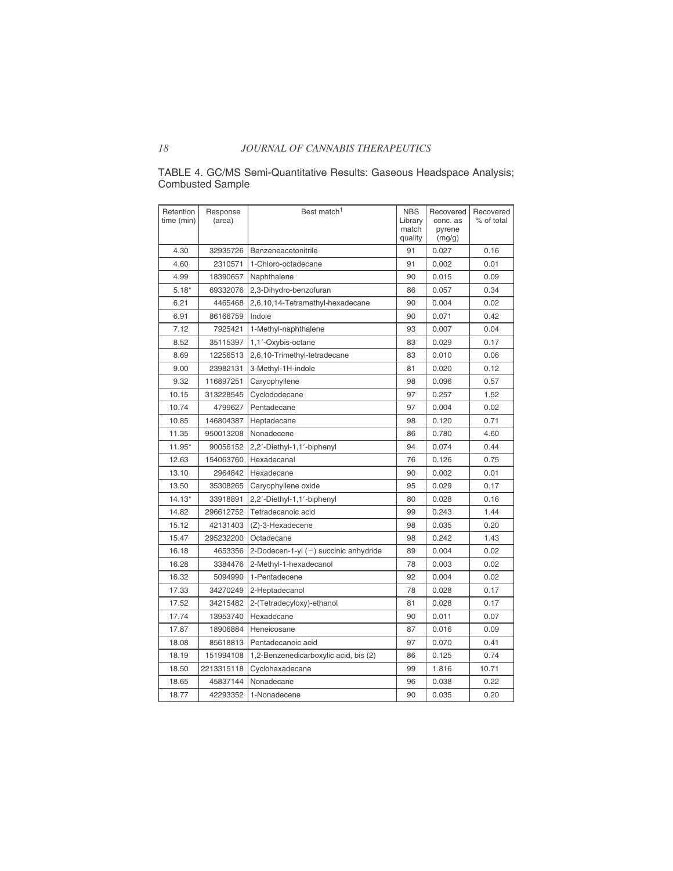| Retention<br>time (min) | Response<br>(area) | Best match <sup>1</sup>               | <b>NBS</b><br>Library<br>match<br>quality | Recovered<br>conc. as<br>pyrene<br>(mg/g) | Recovered<br>% of total |
|-------------------------|--------------------|---------------------------------------|-------------------------------------------|-------------------------------------------|-------------------------|
| 4.30                    | 32935726           | Benzeneacetonitrile                   | 91                                        | 0.027                                     | 0.16                    |
| 4.60                    | 2310571            | 1-Chloro-octadecane                   | 91                                        | 0.002                                     | 0.01                    |
| 4.99                    | 18390657           | Naphthalene                           | 90                                        | 0.015                                     | 0.09                    |
| $5.18*$                 | 69332076           | 2,3-Dihydro-benzofuran                | 86                                        | 0.057                                     | 0.34                    |
| 6.21                    | 4465468            | 2,6,10,14-Tetramethyl-hexadecane      | 90                                        | 0.004                                     | 0.02                    |
| 6.91                    | 86166759           | Indole                                | 90                                        | 0.071                                     | 0.42                    |
| 7.12                    | 7925421            | 1-Methyl-naphthalene                  | 93                                        | 0.007                                     | 0.04                    |
| 8.52                    | 35115397           | 1,1'-Oxybis-octane                    | 83                                        | 0.029                                     | 0.17                    |
| 8.69                    | 12256513           | 2,6,10-Trimethyl-tetradecane          | 83                                        | 0.010                                     | 0.06                    |
| 9.00                    | 23982131           | 3-Methyl-1H-indole                    | 81                                        | 0.020                                     | 0.12                    |
| 9.32                    | 116897251          | Caryophyllene                         | 98                                        | 0.096                                     | 0.57                    |
| 10.15                   | 313228545          | Cyclododecane                         | 97                                        | 0.257                                     | 1.52                    |
| 10.74                   | 4799627            | Pentadecane                           | 97                                        | 0.004                                     | 0.02                    |
| 10.85                   | 146804387          | Heptadecane                           | 98                                        | 0.120                                     | 0.71                    |
| 11.35                   | 950013208          | Nonadecene                            | 86                                        | 0.780                                     | 4.60                    |
| 11.95*                  | 90056152           | 2,2'-Diethyl-1,1'-biphenyl            | 94                                        | 0.074                                     | 0.44                    |
| 12.63                   | 154063760          | Hexadecanal                           | 76                                        | 0.126                                     | 0.75                    |
| 13.10                   | 2964842            | Hexadecane                            | 90                                        | 0.002                                     | 0.01                    |
| 13.50                   | 35308265           | Caryophyllene oxide                   | 95                                        | 0.029                                     | 0.17                    |
| $14.13*$                | 33918891           | 2,2'-Diethyl-1,1'-biphenyl            | 80                                        | 0.028                                     | 0.16                    |
| 14.82                   | 296612752          | Tetradecanoic acid                    | 99                                        | 0.243                                     | 1.44                    |
| 15.12                   | 42131403           | (Z)-3-Hexadecene                      | 98                                        | 0.035                                     | 0.20                    |
| 15.47                   | 295232200          | Octadecane                            | 98                                        | 0.242                                     | 1.43                    |
| 16.18                   | 4653356            | 2-Dodecen-1-yl (-) succinic anhydride | 89                                        | 0.004                                     | 0.02                    |
| 16.28                   | 3384476            | 2-Methyl-1-hexadecanol                | 78                                        | 0.003                                     | 0.02                    |
| 16.32                   | 5094990            | 1-Pentadecene                         | 92                                        | 0.004                                     | 0.02                    |
| 17.33                   | 34270249           | 2-Heptadecanol                        | 78                                        | 0.028                                     | 0.17                    |
| 17.52                   | 34215482           | 2-(Tetradecyloxy)-ethanol             | 81                                        | 0.028                                     | 0.17                    |
| 17.74                   | 13953740           | Hexadecane                            | 90                                        | 0.011                                     | 0.07                    |
| 17.87                   | 18906884           | Heneicosane                           | 87                                        | 0.016                                     | 0.09                    |
| 18.08                   | 85618813           | Pentadecanoic acid                    | 97                                        | 0.070                                     | 0.41                    |
| 18.19                   | 151994108          | 1,2-Benzenedicarboxylic acid, bis (2) | 86                                        | 0.125                                     | 0.74                    |
| 18.50                   | 2213315118         | Cyclohaxadecane                       | 99                                        | 1.816                                     | 10.71                   |
| 18.65                   | 45837144           | Nonadecane                            | 96                                        | 0.038                                     | 0.22                    |
| 18.77                   | 42293352           | 1-Nonadecene                          | 90                                        | 0.035                                     | 0.20                    |

#### TABLE 4. GC/MS Semi-Quantitative Results: Gaseous Headspace Analysis; Combusted Sample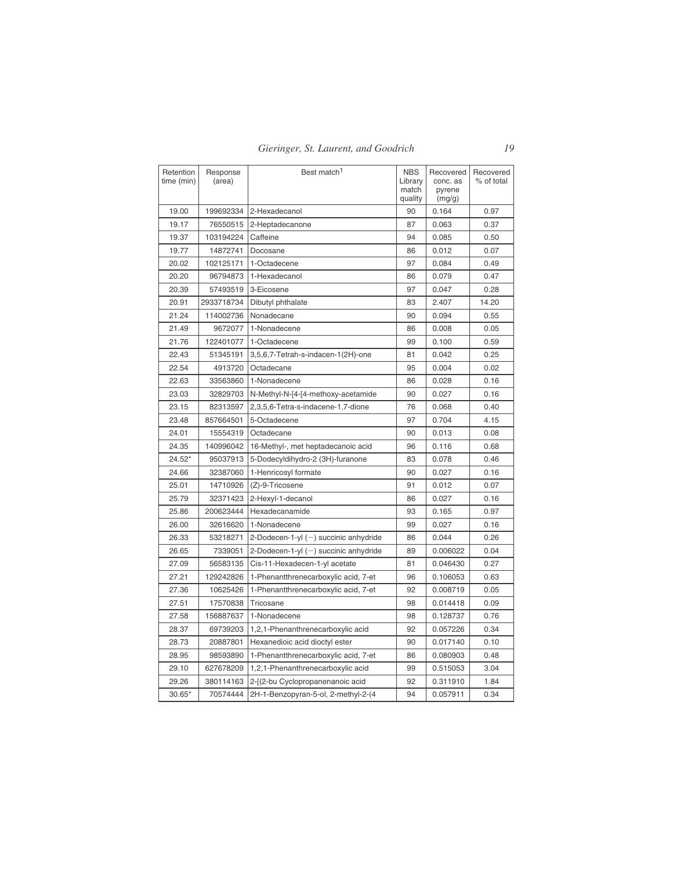| Retention<br>time (min) | Response<br>(area) | Best match <sup>1</sup>                 | <b>NBS</b><br>Library<br>match<br>quality | Recovered<br>conc. as<br>pyrene<br>(mg/g) | Recovered<br>% of total |
|-------------------------|--------------------|-----------------------------------------|-------------------------------------------|-------------------------------------------|-------------------------|
| 19.00                   | 199692334          | 2-Hexadecanol                           | 90                                        | 0.164                                     | 0.97                    |
| 19.17                   | 76550515           | 2-Heptadecanone                         | 87                                        | 0.063                                     | 0.37                    |
| 19.37                   | 103194224          | Caffeine                                | 94                                        | 0.085                                     | 0.50                    |
| 19.77                   | 14872741           | Docosane                                | 86                                        | 0.012                                     | 0.07                    |
| 20.02                   | 102125171          | 1-Octadecene                            | 97                                        | 0.084                                     | 0.49                    |
| 20.20                   | 96794873           | 1-Hexadecanol                           | 86                                        | 0.079                                     | 0.47                    |
| 20.39                   | 57493519           | 3-Eicosene                              | 97                                        | 0.047                                     | 0.28                    |
| 20.91                   | 2933718734         | Dibutyl phthalate                       | 83                                        | 2.407                                     | 14.20                   |
| 21.24                   | 114002736          | Nonadecane                              | 90                                        | 0.094                                     | 0.55                    |
| 21.49                   | 9672077            | 1-Nonadecene                            | 86                                        | 0.008                                     | 0.05                    |
| 21.76                   | 122401077          | 1-Octadecene                            | 99                                        | 0.100                                     | 0.59                    |
| 22.43                   | 51345191           | 3,5,6,7-Tetrah-s-indacen-1(2H)-one      | 81                                        | 0.042                                     | 0.25                    |
| 22.54                   | 4913720            | Octadecane                              | 95                                        | 0.004                                     | 0.02                    |
| 22.63                   | 33563860           | 1-Nonadecene                            | 86                                        | 0.028                                     | 0.16                    |
| 23.03                   | 32829703           | N-Methyl-N-[4-[4-methoxy-acetamide      | 90                                        | 0.027                                     | 0.16                    |
| 23.15                   | 82313597           | 2,3,5,6-Tetra-s-indacene-1,7-dione      | 76                                        | 0.068                                     | 0.40                    |
| 23.48                   | 857664501          | 5-Octadecene                            | 97                                        | 0.704                                     | 4.15                    |
| 24.01                   | 15554319           | Octadecane                              | 90                                        | 0.013                                     | 0.08                    |
| 24.35                   | 140996042          | 16-Methyl-, met heptadecanoic acid      | 96                                        | 0.116                                     | 0.68                    |
| $24.52*$                | 95037913           | 5-Dodecyldihydro-2 (3H)-furanone        | 83                                        | 0.078                                     | 0.46                    |
| 24.66                   | 32387060           | 1-Henricosyl formate                    | 90                                        | 0.027                                     | 0.16                    |
| 25.01                   | 14710926           | (Z)-9-Tricosene                         | 91                                        | 0.012                                     | 0.07                    |
| 25.79                   | 32371423           | 2-Hexyl-1-decanol                       | 86                                        | 0.027                                     | 0.16                    |
| 25.86                   | 200623444          | Hexadecanamide                          | 93                                        | 0.165                                     | 0.97                    |
| 26.00                   | 32616620           | 1-Nonadecene                            | 99                                        | 0.027                                     | 0.16                    |
| 26.33                   | 53218271           | 2-Dodecen-1-yl $(-)$ succinic anhydride | 86                                        | 0.044                                     | 0.26                    |
| 26.65                   | 7339051            | 2-Dodecen-1-yl $(-)$ succinic anhydride | 89                                        | 0.006022                                  | 0.04                    |
| 27.09                   | 56583135           | Cis-11-Hexadecen-1-yl acetate           | 81                                        | 0.046430                                  | 0.27                    |
| 27.21                   | 129242826          | 1-Phenantthrenecarboxylic acid, 7-et    | 96                                        | 0.106053                                  | 0.63                    |
| 27.36                   | 10625426           | 1-Phenantthrenecarboxylic acid, 7-et    | 92                                        | 0.008719                                  | 0.05                    |
| 27.51                   | 17570838           | Tricosane                               | 98                                        | 0.014418                                  | 0.09                    |
| 27.58                   | 156887637          | 1-Nonadecene                            | 98                                        | 0.128737                                  | 0.76                    |
| 28.37                   | 69739203           | 1,2,1-Phenanthrenecarboxylic acid       | 92                                        | 0.057226                                  | 0.34                    |
| 28.73                   | 20887801           | Hexanedioic acid dioctyl ester          | 90                                        | 0.017140                                  | 0.10                    |
| 28.95                   | 98593890           | 1-Phenantthrenecarboxylic acid, 7-et    | 86                                        | 0.080903                                  | 0.48                    |
| 29.10                   | 627678209          | 1,2,1-Phenanthrenecarboxylic acid       | 99                                        | 0.515053                                  | 3.04                    |
| 29.26                   | 380114163          | 2-[(2-bu Cyclopropanenanoic acid        | 92                                        | 0.311910                                  | 1.84                    |
| $30.65*$                | 70574444           | 2H-1-Benzopyran-5-ol, 2-methyl-2-(4     | 94                                        | 0.057911                                  | 0.34                    |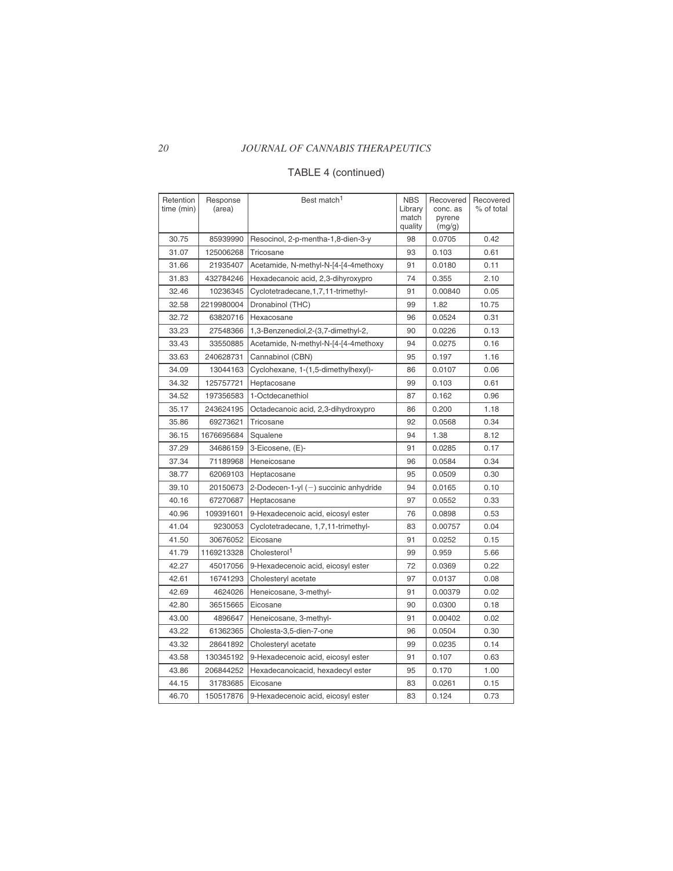## *20 JOURNAL OF CANNABIS THERAPEUTICS*

## TABLE 4 (continued)

| Retention<br>time (min) | Response<br>(area) | Best match <sup>1</sup>                 | <b>NBS</b><br>Library<br>match<br>quality | Recovered<br>conc. as<br>pyrene<br>(mg/g) | Recovered<br>% of total |
|-------------------------|--------------------|-----------------------------------------|-------------------------------------------|-------------------------------------------|-------------------------|
| 30.75                   | 85939990           | Resocinol, 2-p-mentha-1,8-dien-3-y      | 98                                        | 0.0705                                    | 0.42                    |
| 31.07                   | 125006268          | Tricosane                               | 93                                        | 0.103                                     | 0.61                    |
| 31.66                   | 21935407           | Acetamide, N-methyl-N-[4-[4-4methoxy    | 91                                        | 0.0180                                    | 0.11                    |
| 31.83                   | 432784246          | Hexadecanoic acid, 2,3-dihyroxypro      | 74                                        | 0.355                                     | 2.10                    |
| 32.46                   | 10236345           | Cyclotetradecane, 1, 7, 11-trimethyl-   | 91                                        | 0.00840                                   | 0.05                    |
| 32.58                   | 2219980004         | Dronabinol (THC)                        | 99                                        | 1.82                                      | 10.75                   |
| 32.72                   | 63820716           | Hexacosane                              | 96                                        | 0.0524                                    | 0.31                    |
| 33.23                   | 27548366           | 1,3-Benzenediol,2-(3,7-dimethyl-2,      | 90                                        | 0.0226                                    | 0.13                    |
| 33.43                   | 33550885           | Acetamide, N-methyl-N-[4-[4-4methoxy    | 94                                        | 0.0275                                    | 0.16                    |
| 33.63                   | 240628731          | Cannabinol (CBN)                        | 95                                        | 0.197                                     | 1.16                    |
| 34.09                   | 13044163           | Cyclohexane, 1-(1,5-dimethylhexyl)-     | 86                                        | 0.0107                                    | 0.06                    |
| 34.32                   | 125757721          | Heptacosane                             | 99                                        | 0.103                                     | 0.61                    |
| 34.52                   | 197356583          | 1-Octdecanethiol                        | 87                                        | 0.162                                     | 0.96                    |
| 35.17                   | 243624195          | Octadecanoic acid, 2,3-dihydroxypro     | 86                                        | 0.200                                     | 1.18                    |
| 35.86                   | 69273621           | Tricosane                               | 92                                        | 0.0568                                    | 0.34                    |
| 36.15                   | 1676695684         | Squalene                                | 94                                        | 1.38                                      | 8.12                    |
| 37.29                   | 34686159           | 3-Eicosene, (E)-                        | 91                                        | 0.0285                                    | 0.17                    |
| 37.34                   | 71189968           | Heneicosane                             | 96                                        | 0.0584                                    | 0.34                    |
| 38.77                   | 62069103           | Heptacosane                             | 95                                        | 0.0509                                    | 0.30                    |
| 39.10                   | 20150673           | 2-Dodecen-1-yl $(-)$ succinic anhydride | 94                                        | 0.0165                                    | 0.10                    |
| 40.16                   | 67270687           | Heptacosane                             | 97                                        | 0.0552                                    | 0.33                    |
| 40.96                   | 109391601          | 9-Hexadecenoic acid, eicosyl ester      | 76                                        | 0.0898                                    | 0.53                    |
| 41.04                   | 9230053            | Cyclotetradecane, 1,7,11-trimethyl-     | 83                                        | 0.00757                                   | 0.04                    |
| 41.50                   | 30676052           | Eicosane                                | 91                                        | 0.0252                                    | 0.15                    |
| 41.79                   | 1169213328         | Cholesterol <sup>1</sup>                | 99                                        | 0.959                                     | 5.66                    |
| 42.27                   | 45017056           | 9-Hexadecenoic acid, eicosyl ester      | 72                                        | 0.0369                                    | 0.22                    |
| 42.61                   | 16741293           | Cholesteryl acetate                     | 97                                        | 0.0137                                    | 0.08                    |
| 42.69                   | 4624026            | Heneicosane, 3-methyl-                  | 91                                        | 0.00379                                   | 0.02                    |
| 42.80                   | 36515665           | Eicosane                                | 90                                        | 0.0300                                    | 0.18                    |
| 43.00                   | 4896647            | Heneicosane, 3-methyl-                  | 91                                        | 0.00402                                   | 0.02                    |
| 43.22                   | 61362365           | Cholesta-3,5-dien-7-one                 | 96                                        | 0.0504                                    | 0.30                    |
| 43.32                   | 28641892           | Cholesteryl acetate                     | 99                                        | 0.0235                                    | 0.14                    |
| 43.58                   | 130345192          | 9-Hexadecenoic acid, eicosyl ester      | 91                                        | 0.107                                     | 0.63                    |
| 43.86                   | 206844252          | Hexadecanoicacid, hexadecyl ester       | 95                                        | 0.170                                     | 1.00                    |
| 44.15                   | 31783685           | Eicosane                                | 83                                        | 0.0261                                    | 0.15                    |
| 46.70                   | 150517876          | 9-Hexadecenoic acid, eicosyl ester      | 83                                        | 0.124                                     | 0.73                    |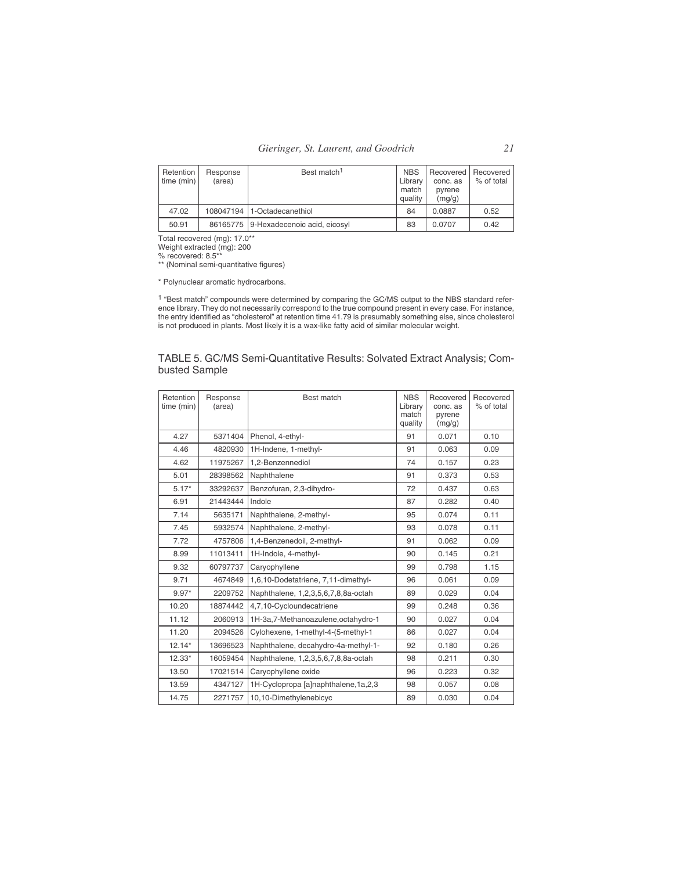| Retention<br>time (min) | Response<br>(area) | Best match <sup>1</sup>               | <b>NBS</b><br>Library<br>match<br>quality | Recovered   Recovered<br>conc. as<br>pyrene<br>(mq/q) | % of total |
|-------------------------|--------------------|---------------------------------------|-------------------------------------------|-------------------------------------------------------|------------|
| 47.02                   |                    | 108047194 1-Octadecanethiol           | 84                                        | 0.0887                                                | 0.52       |
| 50.91                   |                    | 86165775 9-Hexadecenoic acid, eicosyl | 83                                        | 0.0707                                                | 0.42       |

Total recovered (mg): 17.0\*\* Weight extracted (mg): 200 % recovered: 8.5\*\* \*\* (Nominal semi-quantitative figures)

\* Polynuclear aromatic hydrocarbons.

<sup>1</sup> "Best match" compounds were determined by comparing the GC/MS output to the NBS standard refer-<br>ence library. They do not necessarily correspond to the true compound present in every case. For instance,<br>the entry ident is not produced in plants. Most likely it is a wax-like fatty acid of similar molecular weight.

| TABLE 5. GC/MS Semi-Quantitative Results: Solvated Extract Analysis; Com- |  |
|---------------------------------------------------------------------------|--|
| busted Sample                                                             |  |

| Retention<br>time (min) | Response<br>(area) | Best match                          | <b>NBS</b><br>Library<br>match<br>quality | Recovered<br>conc. as<br>pyrene<br>(mg/g) | Recovered<br>% of total |
|-------------------------|--------------------|-------------------------------------|-------------------------------------------|-------------------------------------------|-------------------------|
| 4.27                    | 5371404            | Phenol, 4-ethyl-                    | 91                                        | 0.071                                     | 0.10                    |
| 4.46                    | 4820930            | 1H-Indene, 1-methyl-                | 91                                        | 0.063                                     | 0.09                    |
| 4.62                    | 11975267           | 1.2-Benzennediol                    | 74                                        | 0.157                                     | 0.23                    |
| 5.01                    | 28398562           | Naphthalene                         | 91                                        | 0.373                                     | 0.53                    |
| $5.17*$                 | 33292637           | Benzofuran, 2,3-dihydro-            | 72                                        | 0.437                                     | 0.63                    |
| 6.91                    | 21443444           | Indole                              | 87                                        | 0.282                                     | 0.40                    |
| 7.14                    | 5635171            | Naphthalene, 2-methyl-              | 95                                        | 0.074                                     | 0.11                    |
| 7.45                    | 5932574            | Naphthalene, 2-methyl-              | 93                                        | 0.078                                     | 0.11                    |
| 7.72                    | 4757806            | 1,4-Benzenedoil, 2-methyl-          | 91                                        | 0.062                                     | 0.09                    |
| 8.99                    | 11013411           | 1H-Indole, 4-methyl-                | 90                                        | 0.145                                     | 0.21                    |
| 9.32                    | 60797737           | Caryophyllene                       | 99                                        | 0.798                                     | 1.15                    |
| 9.71                    | 4674849            | 1,6,10-Dodetatriene, 7,11-dimethyl- | 96                                        | 0.061                                     | 0.09                    |
| $9.97*$                 | 2209752            | Naphthalene, 1,2,3,5,6,7,8,8a-octah | 89                                        | 0.029                                     | 0.04                    |
| 10.20                   | 18874442           | 4,7,10-Cycloundecatriene            | 99                                        | 0.248                                     | 0.36                    |
| 11.12                   | 2060913            | 1H-3a,7-Methanoazulene,octahydro-1  | 90                                        | 0.027                                     | 0.04                    |
| 11.20                   | 2094526            | Cylohexene, 1-methyl-4-(5-methyl-1  | 86                                        | 0.027                                     | 0.04                    |
| $12.14*$                | 13696523           | Naphthalene, decahydro-4a-methyl-1- | 92                                        | 0.180                                     | 0.26                    |
| $12.33*$                | 16059454           | Naphthalene, 1,2,3,5,6,7,8,8a-octah | 98                                        | 0.211                                     | 0.30                    |
| 13.50                   | 17021514           | Caryophyllene oxide                 | 96                                        | 0.223                                     | 0.32                    |
| 13.59                   | 4347127            | 1H-Cyclopropa [a]naphthalene,1a,2,3 | 98                                        | 0.057                                     | 0.08                    |
| 14.75                   | 2271757            | 10,10-Dimethylenebicyc              | 89                                        | 0.030                                     | 0.04                    |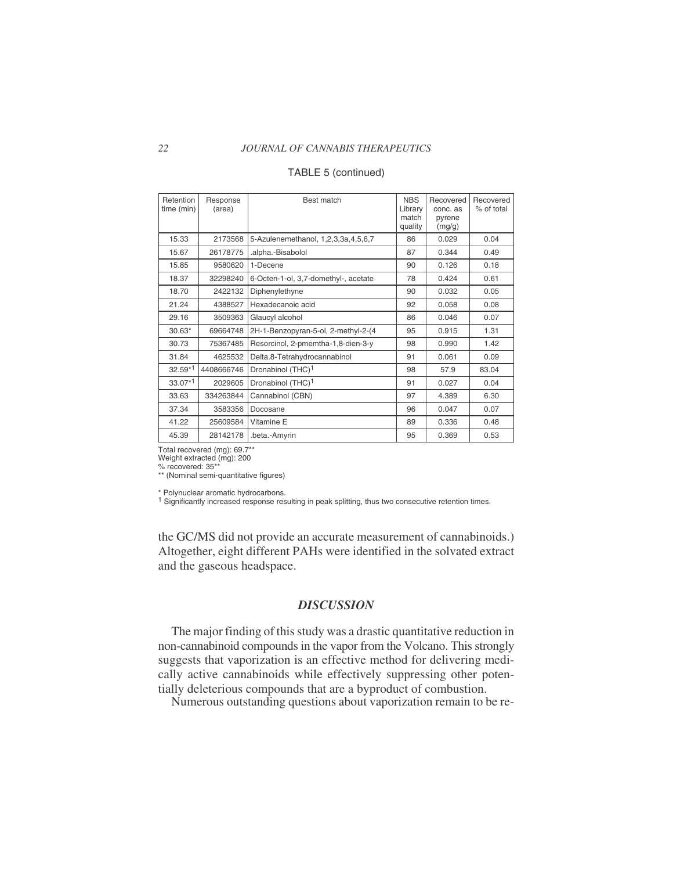#### *22 JOURNAL OF CANNABIS THERAPEUTICS*

| Retention<br>time (min) | Response<br>(area) | Best match                           | <b>NBS</b><br>Library<br>match<br>quality | Recovered<br>conc. as<br>pyrene<br>(mg/g) | Recovered<br>% of total |
|-------------------------|--------------------|--------------------------------------|-------------------------------------------|-------------------------------------------|-------------------------|
| 15.33                   | 2173568            | 5-Azulenemethanol, 1,2,3,3a,4,5,6,7  | 86                                        | 0.029                                     | 0.04                    |
| 15.67                   | 26178775           | .alpha.-Bisabolol                    | 87                                        | 0.344                                     | 0.49                    |
| 15.85                   | 9580620            | 1-Decene                             | 90                                        | 0.126                                     | 0.18                    |
| 18.37                   | 32298240           | 6-Octen-1-ol, 3,7-domethyl-, acetate | 78                                        | 0.424                                     | 0.61                    |
| 18.70                   | 2422132            | Diphenylethyne                       | 90                                        | 0.032                                     | 0.05                    |
| 21.24                   | 4388527            | Hexadecanoic acid                    | 92                                        | 0.058                                     | 0.08                    |
| 29.16                   | 3509363            | Glaucyl alcohol                      | 86                                        | 0.046                                     | 0.07                    |
| $30.63*$                | 69664748           | 2H-1-Benzopyran-5-ol, 2-methyl-2-(4  | 95                                        | 0.915                                     | 1.31                    |
| 30.73                   | 75367485           | Resorcinol, 2-pmemtha-1,8-dien-3-y   | 98                                        | 0.990                                     | 1.42                    |
| 31.84                   | 4625532            | Delta.8-Tetrahydrocannabinol         | 91                                        | 0.061                                     | 0.09                    |
| $32.59*1$               | 4408666746         | Dronabinol (THC) <sup>1</sup>        | 98                                        | 57.9                                      | 83.04                   |
| $33.07*1$               | 2029605            | Dronabinol (THC) <sup>1</sup>        | 91                                        | 0.027                                     | 0.04                    |
| 33.63                   | 334263844          | Cannabinol (CBN)                     | 97                                        | 4.389                                     | 6.30                    |
| 37.34                   | 3583356            | Docosane                             | 96                                        | 0.047                                     | 0.07                    |
| 41.22                   | 25609584           | Vitamine E                           | 89                                        | 0.336                                     | 0.48                    |
| 45.39                   | 28142178           | .beta.-Amyrin                        | 95                                        | 0.369                                     | 0.53                    |

#### TABLE 5 (continued)

Total recovered (mg): 69.7\*\*

Weight extracted (mg): 200

% recovered: 35\*\* \*\* (Nominal semi-quantitative figures)

\* Polynuclear aromatic hydrocarbons.

1 Significantly increased response resulting in peak splitting, thus two consecutive retention times.

the GC/MS did not provide an accurate measurement of cannabinoids.) Altogether, eight different PAHs were identified in the solvated extract and the gaseous headspace.

## *DISCUSSION*

The major finding of this study was a drastic quantitative reduction in non-cannabinoid compounds in the vapor from the Volcano. This strongly suggests that vaporization is an effective method for delivering medically active cannabinoids while effectively suppressing other potentially deleterious compounds that are a byproduct of combustion.

Numerous outstanding questions about vaporization remain to be re-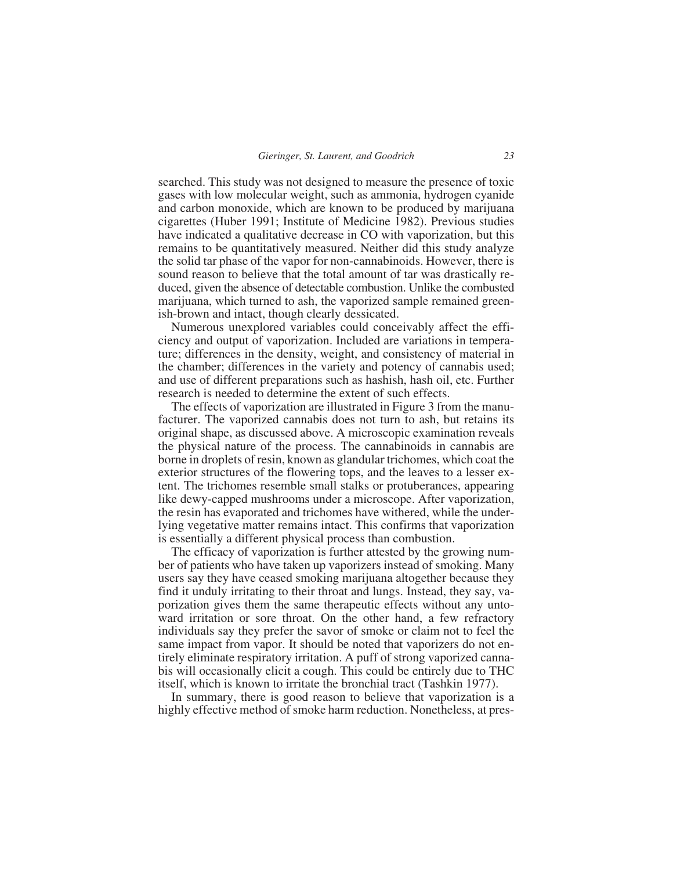searched. This study was not designed to measure the presence of toxic gases with low molecular weight, such as ammonia, hydrogen cyanide and carbon monoxide, which are known to be produced by marijuana cigarettes (Huber 1991; Institute of Medicine 1982). Previous studies have indicated a qualitative decrease in CO with vaporization, but this remains to be quantitatively measured. Neither did this study analyze the solid tar phase of the vapor for non-cannabinoids. However, there is sound reason to believe that the total amount of tar was drastically reduced, given the absence of detectable combustion. Unlike the combusted marijuana, which turned to ash, the vaporized sample remained greenish-brown and intact, though clearly dessicated.

Numerous unexplored variables could conceivably affect the efficiency and output of vaporization. Included are variations in temperature; differences in the density, weight, and consistency of material in the chamber; differences in the variety and potency of cannabis used; and use of different preparations such as hashish, hash oil, etc. Further research is needed to determine the extent of such effects.

The effects of vaporization are illustrated in Figure 3 from the manufacturer. The vaporized cannabis does not turn to ash, but retains its original shape, as discussed above. A microscopic examination reveals the physical nature of the process. The cannabinoids in cannabis are borne in droplets of resin, known as glandular trichomes, which coat the exterior structures of the flowering tops, and the leaves to a lesser extent. The trichomes resemble small stalks or protuberances, appearing like dewy-capped mushrooms under a microscope. After vaporization, the resin has evaporated and trichomes have withered, while the underlying vegetative matter remains intact. This confirms that vaporization is essentially a different physical process than combustion.

The efficacy of vaporization is further attested by the growing number of patients who have taken up vaporizers instead of smoking. Many users say they have ceased smoking marijuana altogether because they find it unduly irritating to their throat and lungs. Instead, they say, vaporization gives them the same therapeutic effects without any untoward irritation or sore throat. On the other hand, a few refractory individuals say they prefer the savor of smoke or claim not to feel the same impact from vapor. It should be noted that vaporizers do not entirely eliminate respiratory irritation. A puff of strong vaporized cannabis will occasionally elicit a cough. This could be entirely due to THC itself, which is known to irritate the bronchial tract (Tashkin 1977).

In summary, there is good reason to believe that vaporization is a highly effective method of smoke harm reduction. Nonetheless, at pres-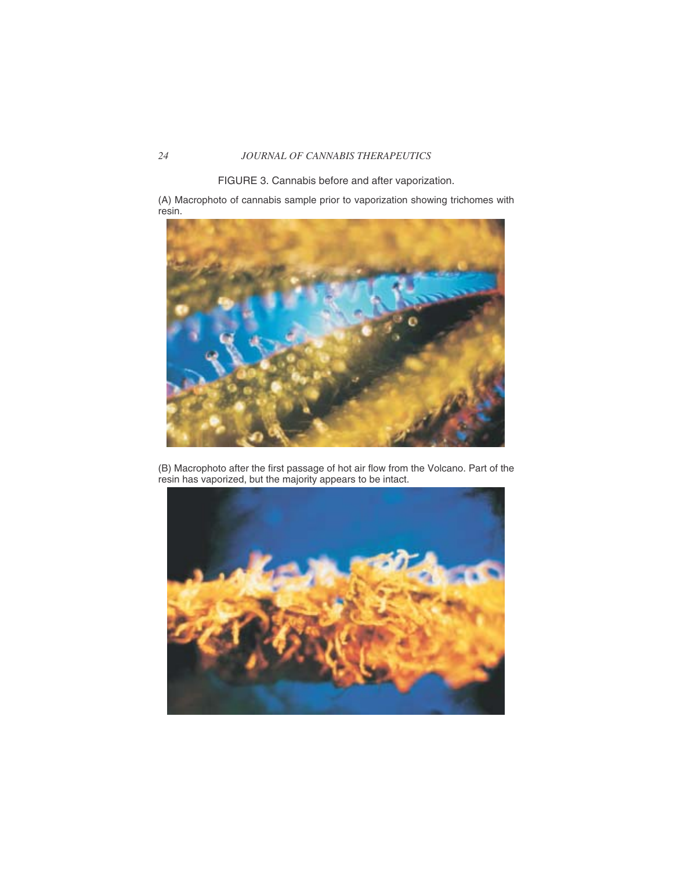## *24 JOURNAL OF CANNABIS THERAPEUTICS*

FIGURE 3. Cannabis before and after vaporization.

(A) Macrophoto of cannabis sample prior to vaporization showing trichomes with resin.



(B) Macrophoto after the first passage of hot air flow from the Volcano. Part of the resin has vaporized, but the majority appears to be intact.

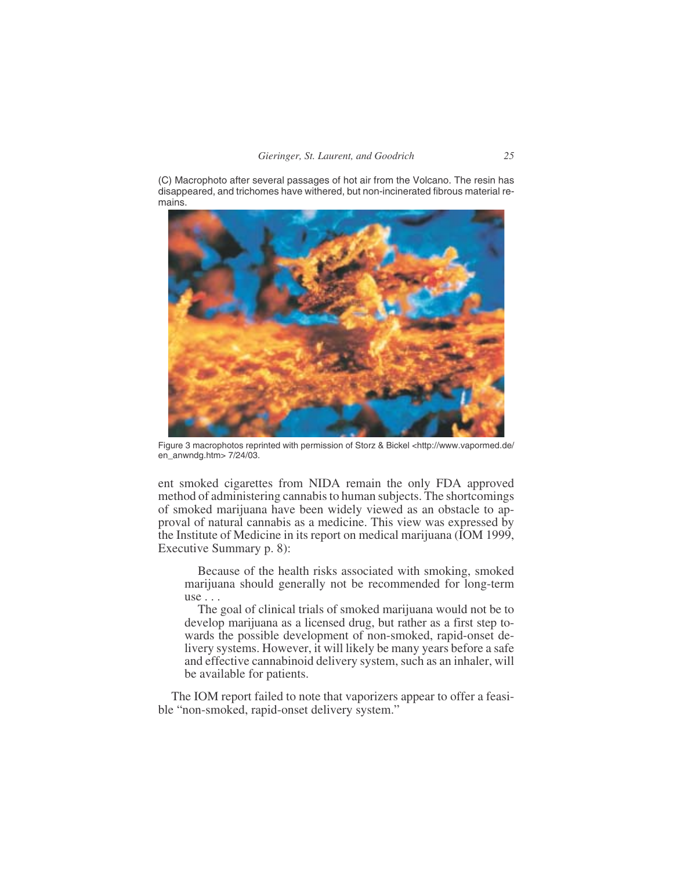(C) Macrophoto after several passages of hot air from the Volcano. The resin has disappeared, and trichomes have withered, but non-incinerated fibrous material remains.



Figure 3 macrophotos reprinted with permission of Storz & Bickel <<http://www.vapormed.de/> en\_anwndg.htm> 7/24/03.

ent smoked cigarettes from NIDA remain the only FDA approved method of administering cannabis to human subjects. The shortcomings of smoked marijuana have been widely viewed as an obstacle to approval of natural cannabis as a medicine. This view was expressed by the Institute of Medicine in its report on medical marijuana (IOM 1999, Executive Summary p. 8):

Because of the health risks associated with smoking, smoked marijuana should generally not be recommended for long-term use . . .

The goal of clinical trials of smoked marijuana would not be to develop marijuana as a licensed drug, but rather as a first step towards the possible development of non-smoked, rapid-onset delivery systems. However, it will likely be many years before a safe and effective cannabinoid delivery system, such as an inhaler, will be available for patients.

The IOM report failed to note that vaporizers appear to offer a feasible "non-smoked, rapid-onset delivery system."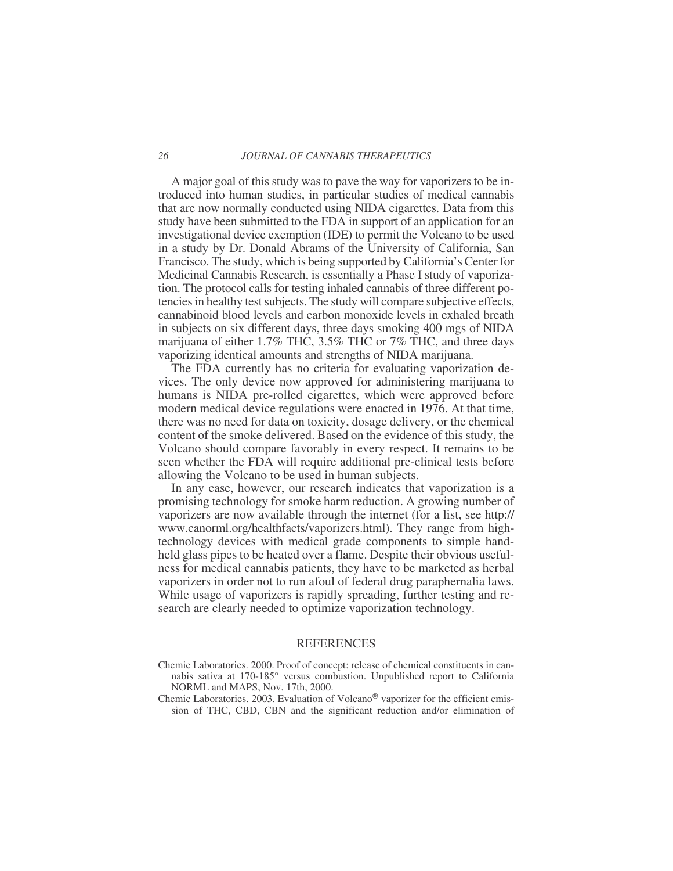A major goal of this study was to pave the way for vaporizers to be introduced into human studies, in particular studies of medical cannabis that are now normally conducted using NIDA cigarettes. Data from this study have been submitted to the FDA in support of an application for an investigational device exemption (IDE) to permit the Volcano to be used in a study by Dr. Donald Abrams of the University of California, San Francisco. The study, which is being supported by California's Center for Medicinal Cannabis Research, is essentially a Phase I study of vaporization. The protocol calls for testing inhaled cannabis of three different potencies in healthy test subjects. The study will compare subjective effects, cannabinoid blood levels and carbon monoxide levels in exhaled breath in subjects on six different days, three days smoking 400 mgs of NIDA marijuana of either 1.7% THC, 3.5% THC or 7% THC, and three days vaporizing identical amounts and strengths of NIDA marijuana.

The FDA currently has no criteria for evaluating vaporization devices. The only device now approved for administering marijuana to humans is NIDA pre-rolled cigarettes, which were approved before modern medical device regulations were enacted in 1976. At that time, there was no need for data on toxicity, dosage delivery, or the chemical content of the smoke delivered. Based on the evidence of this study, the Volcano should compare favorably in every respect. It remains to be seen whether the FDA will require additional pre-clinical tests before allowing the Volcano to be used in human subjects.

In any case, however, our research indicates that vaporization is a promising technology for smoke harm reduction. A growing number of vaporizers are now available through the internet (for a list, see <http://> www.canorml.org/healthfacts/vaporizers.html). They range from hightechnology devices with medical grade components to simple handheld glass pipes to be heated over a flame. Despite their obvious usefulness for medical cannabis patients, they have to be marketed as herbal vaporizers in order not to run afoul of federal drug paraphernalia laws. While usage of vaporizers is rapidly spreading, further testing and research are clearly needed to optimize vaporization technology.

#### REFERENCES

- Chemic Laboratories. 2000. Proof of concept: release of chemical constituents in cannabis sativa at 170-185° versus combustion. Unpublished report to California NORML and MAPS, Nov. 17th, 2000.
- Chemic Laboratories. 2003. Evaluation of Volcano® vaporizer for the efficient emission of THC, CBD, CBN and the significant reduction and/or elimination of